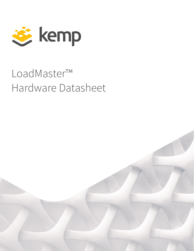

# LoadMaster™ Hardware Datasheet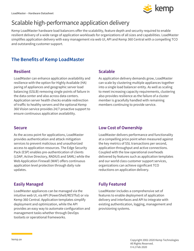# Scalable high-performance application delivery

Kemp LoadMaster hardware load balancers offer the scalability, feature depth and security required to enable resilient delivery of a wide range of application workloads for organizations of all sizes and capabilities. LoadMaster simplifies application delivery with easy management via web UI, API and Kemp 360 Central with a compelling TCO and outstanding customer support.

## **The Benefits of Kemp LoadMaster**

#### **Resilient**

LoadMaster can enhance application availability and resilience with the option for Highly Available (HA) paring of appliances and geographic server load balancing (GSLB) removing single points of failure in the data center and also across data centers. Application server health checks enable redirection of traffic to healthy servers and the optional Kemp 360 Vision service provides 24/7 proactive support to ensure continuous application availability.

#### **Scalable**

As application delivery demands grow, LoadMaster can scale by clustering multiple appliances together into a single load balancer entity. As well as scaling to meet increasing capacity requirements, clustering also provides resilience as the failure of a cluster member is gracefully handled with remaining members continuing to provide service.

#### **Secure**

As the access point for applications, LoadMaster provides authentication and attack mitigation services to prevent malicious and unauthorized access to application resources. The Edge Security Pack (ESP) enables pre-authentication of clients (LDAP, Active Directory, RADIUS and SAML) while the Web Application Firewall (WAF) offers continuous application level protection through daily rule updates.

## **Easily Managed**

LoadMaster appliances can be managed via the intuitive web UI, via API (PowerShell/RESTful) or via Kemp 360 Central. Application templates simplify deployment and optimization, while the API provides an easy way to automate configuration and management tasks whether through DevOps toolsets or operational frameworks.

#### **Low Cost of Ownership**

LoadMaster delivers performance and functionality at a compelling price point when measured against the key metrics of SSL transactions per second, application throughput and active connections. Coupled with the low operational overheads delivered by features such as application templates and our world class customer support services, organizations can achieve significant TCO reductions on application delivery.

## **Fully Featured**

LoadMaster includes a comprehensive set of features to enable deployment of application delivery and interfaces and API to integrate with existing authentication, logging, management and provisioning systems.

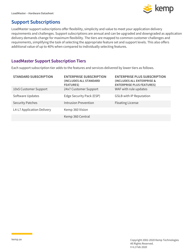

## **Support Subscriptions**

LoadMaster support subscriptions offer flexibility, simplicity and value to meet your application delivery requirements and challenges. Support subscriptions are annual and can be upgraded and downgraded as application delivery demands change for maximum flexibility. The tiers are mapped to common customer challenges and requirements, simplifying the task of selecting the appropriate feature set and support levels. This also offers additional value of up to 40% when compared to individually selecting features.

#### **LoadMaster Support Subscription Tiers**

Each support subscription tier adds to the features and services delivered by lower tiers as follows.

| <b>STANDARD SUBSCRIPTION</b> | <b>ENTERPRISE SUBSCRIPTION</b><br><b>(INCLUDES ALL STANDARD)</b><br><b>FEATURES)</b> | <b>ENTERPRISE PLUS SUBSCRIPTION</b><br>(INCLUDES ALL ENTERPRISE &<br><b>ENTERPRISE PLUS FEATURES)</b> |
|------------------------------|--------------------------------------------------------------------------------------|-------------------------------------------------------------------------------------------------------|
| 10x5 Customer Support        | 24x7 Customer Support                                                                | WAF with rule updates                                                                                 |
| Software Updates             | Edge Security Pack (ESP)                                                             | <b>GSLB with IP Reputation</b>                                                                        |
| <b>Security Patches</b>      | <b>Intrusion Prevention</b>                                                          | <b>Floating License</b>                                                                               |
| L4-L7 Application Delivery   | Kemp 360 Vision                                                                      |                                                                                                       |
|                              | Kemp 360 Central                                                                     |                                                                                                       |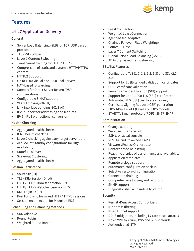## **Features**

## **L4-L7 Application Delivery**

#### **General**

- Server Load Balancing (SLB) for TCP/UDP based protocols
- TLS (SSL) Offload
- Layer 7 Content Switching
- Transparent caching for HTTP/HTTPS
- Compression of static and dynamic HTTP/HTTPS content
- HTTP/2 Support
- Up to 1000 Virtual and 1000 Real Servers
- NAT-based forwarding
- Support for Direct Server Return (DSR) configurations
- Configurable S-NAT support
- VLAN Trunking (802.1Q)
- Link interface bonding (802.3ad)
- IPv6 support for addressing and features
- IPv6 IPv4 bidirectional conversion

#### **Health Checking**

- Aggregated health checks
- ICMP health checking
- Layer 7 checking against any target server port
- Active/Hot Standby configurations for High Availability
- Stateful Failover
- Scale-out Clustering
- Aggregated health checks

#### **Session Persistence**

- Source IP (L4)
- TLS (SSL) SessionID (L4)
- HTTP/HTTPS Browser-session (L7)
- HTTP/HTTPS WebClient-session (L7)
- RDP Login ID (L7)
- Port Following for mixed HTTP/HTTPS sessions
- Session reconnection for Microsoft RDS

#### **Scheduling and Balancing Methods**

- SDN Adaptive
- Round Robin
- Weighted Round Robin
- Least Connection
- Weighted Least Connection
- Agent-based Adaptive
- Chained Failover (Fixed Weighting)
- Source-IP Hash
- Layer 7 Content Switching
- Global Server Load Balancing (GSLB)
- AD Group based traffic steering

#### **SSL/TLS Features**

- Configurable TLS  $(1.0, 1.1, 1.2, 1.3)$  and SSL  $(2.0, 1.1, 1.2, 1.3)$ 3.0)
- Support for EV (Extended Validation) certificates
- OCSP certificate validation
- Server Name Identification (SNI) support
- Support for up to 1,000 TLS (SSL) certificates
- Automated TLS (SSL) certificate chaining
- Certificate Signing Request (CSR) generation
- FIPS 140-2 Level 1 (Level 2 on FIPS models)
- STARTTLS mail protocols (POP3, SMTP, IMAP)

#### **Administration**

- Change auditing
- Web User Interface (WUI)
- SSH & physical console
- RESTful and PowerShell APIs
- VMware vRealize Orchestrator
- Context based help (WUI)
- Real time display of performance and availability
- Application templates
- Remote syslogd support
- Automated configuration backup
- Selective restore of configuration
- Connection draining
- Comprehensive logging and reporting
- SNMP support
- Diagnostic shell with in-line tcpdump

#### **Security**

- Permit /Deny Access Control Lists
- IP address filtering
- IPsec Tunnel support
- DDoS mitigation, including L7 rate based attacks
- IPSec VPN to Azure, AWS and public clouds
- Authenticated NTP

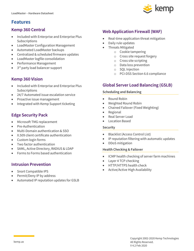

## **Features**

#### **Kemp 360 Central**

- Included with Enterprise and Enterprise Plus Subscriptions
- LoadMaster Configuration Management
- Automated LoadMaster backups
- Centralized & scheduled firmware updates
- LoadMaster logfile consolidation
- Performance Management
- 3<sup>rd</sup> party load balancer support

## **Kemp 360 Vision**

- Included with Enterprise and Enterprise Plus **Subscriptions**
- 24/7 Automated issue escalation service
- Proactive issue management
- Integrated with Kemp Support ticketing

## **Edge Security Pack**

- Microsoft TMG replacement
- Pre-Authentication
- Multi-Domain authentication & SSO
- X.509 client certificate authentication
- Custom login forms
- Two factor authentication
- SAML, Active Directory, RADIUS & LDAP
- Forms to Forms based authentication

## **Intrusion Prevention**

- Snort Compatible IPS
- Permit/Deny IP by address
- Automated IP reputation updates for GSLB

## **Web Application Firewall (WAF)**

- Real-time application threat mitigation
- Daily rule updates
- Threats Mitigated
	- o Cookie tampering
	- o Cross site request forgery
	- o Cross site scripting
	- o Data loss prevention
	- o SQL Injection
	- o PCI-DSS Section 6.6 compliance

## **Global Server Load Balancing (GSLB)**

#### **Scheduling and Balancing**

- Round Robin
- Weighted Round Robin
- Chained Failover (Fixed Weighting)
- Regional
- Real Server Load
- Location Based

#### **Security**

- Blacklist (Access Control List)
- IP reputation filtering with automatic updates
- DDoS mitigation

#### **Health Checking & Failover**

- ICMP health checking of server farm machines
- Layer 4 TCP checking
- HTTP/HTTPS health check
- Active/Active High Availability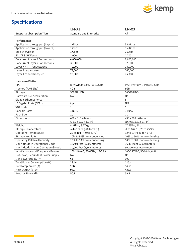

|                                       | $LM-X1$                             | $LM-X3$                              |
|---------------------------------------|-------------------------------------|--------------------------------------|
| <b>Support Subscription Tiers</b>     | <b>Standard and Enterprise</b>      | All                                  |
|                                       |                                     |                                      |
| Performance                           |                                     |                                      |
| Application throughput (Layer 4)      | 1 Gbps                              | 3.6 Gbps                             |
| Application throughput (Layer 7)      | 1 Gbps                              | 3.4 Gbps                             |
| <b>Bulk Encryption</b>                | 1 Gbps                              | 2 Gbps                               |
| SSL TPS (2K Keys)                     | 1,000                               | 1,700                                |
| <b>Concurrent Layer 4 Connections</b> | 4,000,000                           | 8,600,000                            |
| <b>Concurrent Layer 7 Connections</b> | 32,800                              | 125,000                              |
| Layer 7 HTTP requests/sec             | 70,000                              | 180,000                              |
| Layer 4 requests/sec                  | 78,000                              | 260,000                              |
| Layer 4 connections/sec               | 25,000                              | 75,000                               |
|                                       |                                     |                                      |
| <b>Hardware Platform</b>              |                                     |                                      |
| CPU                                   | Intel ATOM C3558 @ 2.2GHz           | Intel Pentium G440 @3.3GHz           |
| Memory (RAM Size)                     | 4GB                                 | 8GB                                  |
| Storage                               | 500GB HDD                           | 500GB HDD                            |
| Hardware SSL Acceleration             | No                                  | <b>No</b>                            |
| <b>Gigabit Ethernet Ports</b>         | 4                                   | 8                                    |
| 10 Gigabit Ports (SFP+)               | N/A                                 | N/A                                  |
| <b>VGA Ports</b>                      | $\mathbf{1}$                        | $\mathbf{1}$                         |
| <b>Console Ports</b>                  | 1 RJ45                              | 1 RJ45                               |
| Rack Size                             | 1U                                  | 10                                   |
| <b>Dimensions</b>                     | 430 x 310 x 44mm                    | 430 x 300 x 44mm                     |
|                                       | $(16.9 \times 12.2 \times 1.7)$ in) | $(16.9 \times 11.81 \times 1.7)$ in) |
| Weight                                | 8.31lbs / 3.77kg                    | 17.63lbs / 8kg                       |
| Storage Temperature                   | -4 to 167 °F (-20 to 75 °C)         | -4 to 167 °F (-20 to 75 °C)          |
| <b>Operating Temperature</b>          | 32 to 104 °F (0 to 40 °C)           | 32 to 104 °F (0 to 40 °C)            |
| <b>Storage Humidity</b>               | 10% to 90% non-condensing           | 10% to 90% non-condensing            |
| <b>Operating Relative Humidity</b>    | 10% to 90% non-condensing           | 10% to 90% non-condensing            |
| Max Altitude in Operational Mode      | 16,404 feet (5,000 meters)          | 16,404 feet (5,000 meters)           |
| Max Altitude in Non-Operational Mode  | 30,000 feet (9,144 meters)          | 30,000 feet (9,144 meters)           |
| Input Voltage and Frequency Ranges    | 100-240VAC, 50-60Hz, 1.7-0.8A       | 100-240VAC, 50-60Hz, 6-3A            |
| Hot-Swap, Redundant Power Supply      | No                                  | <b>No</b>                            |
| Max power supply (W)                  | 65                                  | 300                                  |
| Total Power Consumption (W)           | 28.44                               | 125.4                                |
| Total Amp Drawn (A)                   | 2.37                                | 14.55                                |
| Heat Output (BTU)                     | 96.9                                | 427.6                                |
| Acoustic Noise (dB)                   | 50.7                                | 59.4                                 |

<u> Tanzania (</u>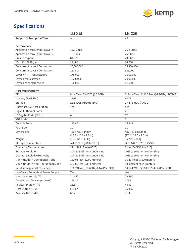

|                                       | <b>LM-X15</b>                              | <b>LM-X25</b>                                      |
|---------------------------------------|--------------------------------------------|----------------------------------------------------|
| <b>Support Subscription Tiers</b>     | All                                        | All                                                |
|                                       |                                            |                                                    |
| Performance                           |                                            |                                                    |
| Application throughput (Layer 4)      | 15.8 Gbps                                  | 26.2 Gbps                                          |
| Application throughput (Layer 7)      | 15 Gbps                                    | 25 Gbps                                            |
| <b>Bulk Encryption</b>                | 8 Gbps                                     | 20 Gbps                                            |
| SSL TPS (2K Keys)                     | 12,000                                     | 20,000                                             |
| <b>Concurrent Layer 4 Connections</b> | 35,000,000                                 | 75,800,000                                         |
| <b>Concurrent Layer 7 Connections</b> | 262,500                                    | 525,000                                            |
| Layer 7 HTTP requests/sec             | 175,000                                    | 1,000,000                                          |
| Layer 4 requests/sec                  | 1,600,000                                  | 2,000,000                                          |
| Layer 4 connections/sec               | 450,000                                    | 675,000                                            |
|                                       |                                            |                                                    |
| <b>Hardware Platform</b><br>CPU       |                                            |                                                    |
|                                       | Intel Xeon E3-1275 @ 3.8GHz<br>32GB        | 2x Intel Xeon 4116 Silver @2.1GHz; 12C/24T<br>64GB |
| Memory (RAM Size)                     |                                            |                                                    |
| Storage                               | 2 x 500GB HDD (RAID 1)                     | 2 x 1TB HDD (RAID 1)                               |
| Hardware SSL Acceleration             | Yes                                        | Yes                                                |
| <b>Gigabit Ethernet Ports</b>         | 16                                         | $\overline{2}$                                     |
| 10 Gigabit Ports (SFP+)               | 4                                          | 12                                                 |
| <b>VGA Ports</b>                      | $\mathbf{1}$                               | $\mathbf{1}$                                       |
| <b>Console Ports</b>                  | 1 RJ45                                     | 1 RJ45                                             |
| Rack Size                             | 1U                                         | 2U                                                 |
| <b>Dimensions</b>                     | 430 x 480 x 44mm                           | 437 x 570 x 88mm                                   |
|                                       | $(16.9 \times 18.8 \times 1.7 \text{ in})$ | $(17.2 \times 22.5 \times 3.5 \text{ in})$         |
| Weight                                | 26.01lbs / 11.8kg                          | 35.2lbs / 16Kg                                     |
| Storage Temperature                   | -4 to 167 °F (-20 to 75 °C)                | -4 to 167 °F (-20 to 75 °C)                        |
| <b>Operating Temperature</b>          | 32 to 104 °F (0 to 40 °C)                  | 32 to 104 °F (0 to 40 °C)                          |
| <b>Storage Humidity</b>               | 10% to 90% non-condensing                  | 10% to 90% non-condensing                          |
| <b>Operating Relative Humidity</b>    | 10% to 90% non-condensing                  | 10% to 90% non-condensing                          |
| Max Altitude in Operational Mode      | 16,404 feet (5,000 meters)                 | 16,404 feet (5,000 meters)                         |
| Max Altitude in Non-Operational Mode  | 30,000 feet (9,144 meters)                 | 30,000 feet (9,144 meters)                         |
| Input Voltage and Frequency           | 100-240VAC, 50-60Hz, 8-4A (Per Inlet)      | 100-240VAC, 50-60Hz, 9-4.5A (Per Inlet)            |
| Hot-Swap, Redundant Power Supply      | Yes                                        | Yes                                                |
| Max power supply (W)                  | $2 \times 450$                             | $2 \times 700$                                     |
| Total Power Consumption (W)           | 165.27                                     | 479.6                                              |
| Total Amp Drawn (A)                   | 16.37                                      | 48.99                                              |
| Heat Output (BTU)                     | 563.57                                     | 1635.5                                             |
| Acoustic Noise (dB)                   | 62.7                                       | 71.4                                               |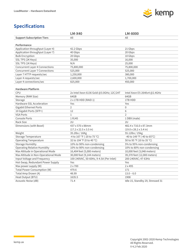

|                                       | <b>LM-X40</b>                            | <b>LM-8000</b>                             |
|---------------------------------------|------------------------------------------|--------------------------------------------|
| <b>Support Subscription Tiers</b>     | All                                      | All                                        |
|                                       |                                          |                                            |
| Performance                           |                                          |                                            |
| Application throughput (Layer 4)      | 42.2 Gbps                                | 21 Gbps                                    |
| Application throughput (Layer 7)      | 40 Gbps                                  | 20 Gbps                                    |
| <b>Bulk Encryption</b>                | 20 Gbps                                  | 10 Gbps                                    |
| SSL TPS (2K Keys)                     | 35,000                                   | 16,000                                     |
| SSL TPS (1K Keys)                     | N/A                                      | 25,000                                     |
| <b>Concurrent Layer 4 Connections</b> | 75,800,000                               | 75,800,000                                 |
| <b>Concurrent Layer 7 Connections</b> | 525,000                                  | 525,000                                    |
| Layer 7 HTTP requests/sec             | 1,250,000                                | 380,000                                    |
| Layer 4 requests/sec                  | 2,600,000                                | 1,700,000                                  |
| Layer 4 connections/sec               | 825,000                                  | 450,000                                    |
|                                       |                                          |                                            |
| <b>Hardware Platform</b>              |                                          |                                            |
| <b>CPU</b>                            | 2x Intel Xeon 6136 Gold @3.0GHz; 12C/24T | Intel Xeon E5-2640v4 @2.4GHz               |
| Memory (RAM Size)                     | 64GB                                     | 64GB                                       |
| Storage                               | 2 x 1TB HDD (RAID 1)                     | 1TB HDD                                    |
| Hardware SSL Acceleration             | Yes                                      | Yes                                        |
| <b>Gigabit Ethernet Ports</b>         | $\overline{2}$                           | $\boldsymbol{0}$                           |
| 10 Gigabit Ports (SFP+)               | 12                                       | 6                                          |
| <b>VGA Ports</b>                      | $\mathbf{1}$                             | $\overline{2}$                             |
| Console Ports                         | 1 RJ45                                   | 1 DB9 (male)                               |
| Rack Size                             | 2U                                       | 2U                                         |
| Dimensions (with Bezel)               | 437 x 570 x 88mm                         | 482.4 x 716.0 x 87.3mm                     |
|                                       | $(17.2 \times 22.5 \times 3.5)$ in)      | $(19.0 \times 28.2 \times 3.4 \text{ in})$ |
| Weight                                | 35.2lbs / 16Kg                           | 55.12lbs / 25kg                            |
| <b>Storage Temperature</b>            | -4 to 167 °F (-20 to 75 °C)              | -40 to 149 °F (-40 to 65°C)                |
| <b>Operating Temperature</b>          | 32 to 104 °F (0 to 40 °C)                | 50 to 95 °F (10 to 35 °C)                  |
| <b>Storage Humidity</b>               | 10% to 90% non-condensing                | 5% to 95% non-condensing                   |
| <b>Operating Relative Humidity</b>    | 10% to 90% non-condensing                | 10% to 80% non-condensing                  |
| Max Altitude in Operational Mode      | 16,404 feet (5,000 meters)               | 10,000 feet (3,048 meters)                 |
| Max Altitude in Non-Operational Mode  | 30,000 feet (9,144 meters)               | 39,370 feet (12,000 meters)                |
| Input Voltage and Frequency           | 100-240VAC, 50-60Hz, 9-4.5A (Per Inlet)  | 200-240VAC; 47-63Hz                        |
| Hot-Swap, Redundant Power Supply      | Yes                                      | Yes                                        |
| Max power supply (W)                  | $2 \times 700$                           | 2 x 495                                    |
| Total Power Consumption (W)           | 479.6                                    | 171                                        |
| Total Amp Drawn (A)                   | 48.99                                    | $13.0 - 6.0$                               |
| Heat Output (BTU)                     | 1635.5                                   | 1908                                       |
| Acoustic Noise (dB)                   | 71.4                                     | Idle 15, Standby 29, Stressed 31           |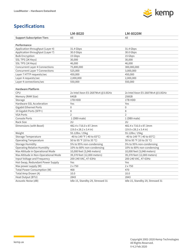

|                                       | LM-8020                                    | <b>LM-8020M</b>                            |
|---------------------------------------|--------------------------------------------|--------------------------------------------|
| <b>Support Subscription Tiers</b>     | All                                        | All                                        |
|                                       |                                            |                                            |
| Performance                           |                                            |                                            |
| Application throughput (Layer 4)      | 31.4 Gbps                                  | 31.4 Gbps                                  |
| Application throughput (Layer 7)      | 30.0 Gbps                                  | 30.0 Gbps                                  |
| <b>Bulk Encryption</b>                | 15 Gbps                                    | 15 Gbps                                    |
| SSL TPS (2K Keys)                     | 30,000                                     | 30,000                                     |
| SSL TPS (1K Keys)                     | 46,000                                     | 46,000                                     |
| <b>Concurrent Layer 4 Connections</b> | 75,800,000                                 | 300,000,000                                |
| <b>Concurrent Layer 7 Connections</b> | 525,000                                    | 3,000,000                                  |
| Layer 7 HTTP requests/sec             | 450,000                                    | 450,000                                    |
| Layer 4 requests/sec                  | 2,000,000                                  | 2,000,000                                  |
| Layer 4 connections/sec               | 550,000                                    | 550,000                                    |
|                                       |                                            |                                            |
| <b>Hardware Platform</b>              |                                            |                                            |
| <b>CPU</b>                            | 2x Intel Xeon E5-2687Wv4 @3.0GHz           | 2x Intel Xeon E5-2687Wv4 @3.0GHz           |
| Memory (RAM Size)                     | 64GB                                       | 256GB                                      |
| Storage                               | 1TB HDD                                    | 1TB HDD                                    |
| Hardware SSL Acceleration             | Yes                                        | Yes                                        |
| <b>Gigabit Ethernet Ports</b>         | 0                                          | 0                                          |
| 10 Gigabit Ports (SFP+)               | 8                                          | 8                                          |
| <b>VGA Ports</b>                      | $\overline{2}$                             | $\overline{2}$                             |
| <b>Console Ports</b>                  | 1 (DB9 male)                               | 1 (DB9 male)                               |
| Rack Size                             | 2U                                         | 2U                                         |
| Dimensions (with Bezel)               | 482.4 x 716.0 x 87.3mm                     | 482.4 x 716.0 x 87.3mm                     |
|                                       | $(19.0 \times 28.2 \times 3.4 \text{ in})$ | $(19.0 \times 28.2 \times 3.4 \text{ in})$ |
| Weight                                | 55.12lbs / 25kg                            | 55.12lbs / 25kg                            |
| Storage Temperature                   | -40 to 149 °F (-40 to 65°C)                | -40 to 149 °F (-40 to 65°C)                |
| <b>Operating Temperature</b>          | 50 to 95 °F (10 to 35 °C)                  | 50 to 95 °F (10 to 35 °C)                  |
| <b>Storage Humidity</b>               | 5% to 95% non-condensing                   | 5% to 95% non-condensing                   |
| <b>Operating Relative Humidity</b>    | 10% to 80% non-condensing                  | 10% to 80% non-condensing                  |
| Max Altitude in Operational Mode      | 10,000 feet (3,048 meters)                 | 10,000 feet (3,048 meters)                 |
| Max Altitude in Non-Operational Mode  | 39,370 feet (12,000 meters)                | 39,370 feet (12,000 meters)                |
| Input Voltage and Frequency           | 200-240 VAC, 47-63Hz                       | 200-240 VAC, 47-63Hz                       |
| Hot-Swap, Redundant Power Supply      | Yes                                        | Yes                                        |
| Max power supply (W)                  | $2 \times 750$                             | 2 x 750                                    |
| Total Power Consumption (W)           | 468                                        | 470                                        |
| Total Amp Drawn (A)                   | 10.0                                       | 10.0                                       |
| Heat Output (BTU)                     | 2843                                       | 2843                                       |
| Acoustic Noise (dB)                   | Idle 15, Standby 29, Stressed 31           | Idle 15, Standby 29, Stressed 31           |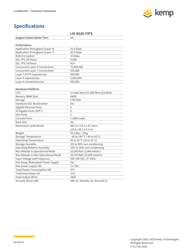

|                                       | <b>LM-8020-FIPS</b>                        |
|---------------------------------------|--------------------------------------------|
| <b>Support Subscription Tiers</b>     | All                                        |
|                                       |                                            |
| Performance                           |                                            |
| Application throughput (Layer 4)      | 31.4 Gbps                                  |
| Application throughput (Layer 7)      | 30.0 Gbps                                  |
| <b>Bulk Encryption</b>                | 10 Gbps                                    |
| SSL TPS (2K Keys)                     | 9,000                                      |
| SSL TPS (1K Keys)                     | N/A                                        |
| <b>Concurrent Layer 4 Connections</b> | 75,800,000                                 |
| <b>Concurrent Layer 7 Connections</b> | 525,000                                    |
| Layer 7 HTTP requests/sec             | 450,000                                    |
| Layer 4 requests/sec                  | 2,000,000                                  |
| Layer 4 connections/sec               | 550,000                                    |
| <b>Hardware Platform</b>              |                                            |
| CPU                                   | 2x Intel Xeon E5-2687Wv4 @3.0GHz           |
| Memory (RAM Size)                     | 64GB                                       |
| Storage                               | 1TB HDD                                    |
| Hardware SSL Acceleration             | Yes                                        |
| <b>Gigabit Ethernet Ports</b>         | $\mathbf 0$                                |
| 10 Gigabit Ports (SFP+)               | 8                                          |
| <b>VGA Ports</b>                      | $\mathfrak{D}$                             |
| <b>Console Ports</b>                  | 1 (DB9 male)                               |
| Rack Size                             | 2U                                         |
| Dimensions (with Bezel)               | 482.4 x 716.0 x 87.3mm                     |
|                                       | $(19.0 \times 28.2 \times 3.4 \text{ in})$ |
| Weight                                | 55.12lbs / 25kg                            |
| <b>Storage Temperature</b>            | -40 to 149 °F (-40 to 65°C)                |
| <b>Operating Temperature</b>          | 50 to 95 °F (10 to 35 °C)                  |
| <b>Storage Humidity</b>               | 5% to 95% non-condensing                   |
| <b>Operating Relative Humidity</b>    | 10% to 80% non-condensing                  |
| Max Altitude in Operational Mode      | 10,000 feet (3,048 meters)                 |
| Max Altitude in Non-Operational Mode  | 39,370 feet (12,000 meters)                |
| Input Voltage and Frequency           | 200-240 VAC, 47-63Hz                       |
| Hot-Swap, Redundant Power Supply      | Yes                                        |
|                                       |                                            |
| Max power supply (W)                  | 2 x 750                                    |
| Total Power Consumption (W)           | 470                                        |
| Total Amp Drawn (A)                   | 10.0                                       |
| Heat Output (BTU)                     | 2843                                       |
| Acoustic Noise (dB)                   | Idle 15, Standby 29, Stressed 31           |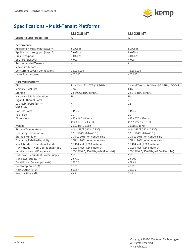

# **Specifications – Multi-Tenant Platforms**

|                                       | <b>LM-X15-MT</b>                      | <b>LM-X25-MT</b>                           |
|---------------------------------------|---------------------------------------|--------------------------------------------|
| <b>Support Subscription Tiers</b>     | All                                   | All                                        |
|                                       |                                       |                                            |
| Performance                           |                                       |                                            |
| Application throughput (Layer 4)      | 5.2 Gbps                              | 8.2 Gbps                                   |
| Application throughput (Layer 7)      | 5.0 Gbps                              | 8.0 Gbps                                   |
| <b>Bulk Encryption</b>                | 3.0 Gbps                              | 3.0 Gbps                                   |
| SSL TPS (2K Keys)                     | 4,000                                 | 4,000                                      |
| <b>Recommended Tenants</b>            | 4                                     | 8                                          |
| <b>Maximum Tenants</b>                | 16                                    | 16                                         |
| <b>Concurrent Layer 4 Connections</b> | 35,000,000                            | 75,800,000                                 |
| Layer 4 requests/sec                  | 400,000                               | 400,000                                    |
|                                       |                                       |                                            |
| <b>Hardware Platform</b>              |                                       |                                            |
| CPU                                   | Intel Xeon E3-1275 @ 3.8GHz           | 2x Intel Xeon 4116 Silver @2.1GHz; 12C/24T |
| Memory (RAM Size)                     | 32GB                                  | 64GB                                       |
| Storage                               | 2 x 500GB HDD (RAID 1)                | 2 x 1TB HDD (RAID 1)                       |
| Hardware SSL Acceleration             | No                                    | No                                         |
| <b>Gigabit Ethernet Ports</b>         | 16                                    | $\overline{2}$                             |
| 10 Gigabit Ports (SFP+)               | 4                                     | 12                                         |
| <b>VGA Ports</b>                      | $\mathbf{1}$                          | $\mathbf{1}$                               |
| <b>Console Ports</b>                  | 1 RJ45                                | 1 RJ45                                     |
| Rack Size                             | 1U                                    | 2U                                         |
| <b>Dimensions</b>                     | 430 x 480 x 44mm                      | 437 x 570 x 88mm                           |
|                                       | $(16.9 \times 18.8 \times 1.7)$ in)   | $(17.2 \times 22.5 \times 3.5 \text{ in})$ |
| Weight                                | 26.01lbs / 11.8kg                     | 35.2lbs / 16Kg                             |
| Storage Temperature                   | -4 to 167 °F (-20 to 75 °C)           | -4 to 167 °F (-20 to 75 °C)                |
| <b>Operating Temperature</b>          | 32 to 104 °F (0 to 40 °C)             | 32 to 104 °F (0 to 40 °C)                  |
| <b>Storage Humidity</b>               | 10% to 90% non-condensing             | 10% to 90% non-condensing                  |
| <b>Operating Relative Humidity</b>    | 10% to 90% non-condensing             | 10% to 90% non-condensing                  |
| Max Altitude in Operational Mode      | 16,404 feet (5,000 meters)            | 16,404 feet (5,000 meters)                 |
| Max Altitude in Non-Operational Mode  | 30,000 feet (9,144 meters)            | 30,000 feet (9,144 meters)                 |
| Input Voltage and Frequency           | 100-240VAC, 50-60Hz, 8-4A (Per Inlet) | 100-240VAC, 50-60Hz, 9-4.5A (Per Inlet)    |
| Hot-Swap, Redundant Power Supply      | Yes                                   | Yes                                        |
| Max power supply (W)                  | $2 \times 450$                        | $2 \times 700$                             |
| Total Power Consumption (W)           | 165.27                                | 479.62                                     |
| Total Amp Drawn (A)                   | 16.37                                 | 48.99                                      |
| Heat Output (BTU)                     | 563.57                                | 1635.5                                     |
| Acoustic Noise (dB)                   | 62.7                                  | 71.4                                       |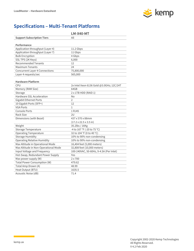

# **Specifications – Multi-Tenant Platforms**

|                                       | <b>LM-X40-MT</b>                           |
|---------------------------------------|--------------------------------------------|
| <b>Support Subscription Tiers</b>     | All                                        |
|                                       |                                            |
| Performance                           |                                            |
| Application throughput (Layer 4)      | 11.2 Gbps                                  |
| Application throughput (Layer 7)      | 11 Gbps                                    |
| <b>Bulk Encryption</b>                | 4 Gbps                                     |
| SSL TPS (2K Keys)                     | 6,000                                      |
| <b>Recommended Tenants</b>            | 12                                         |
| <b>Maximum Tenants</b>                | 24                                         |
| <b>Concurrent Layer 4 Connections</b> | 75,800,000                                 |
| Layer 4 requests/sec                  | 565,000                                    |
|                                       |                                            |
| <b>Hardware Platform</b>              |                                            |
| CPU                                   | 2x Intel Xeon 6136 Gold @3.0GHz; 12C/24T   |
| Memory (RAM Size)                     | 64GB                                       |
| Storage                               | 2 x 1TB HDD (RAID 1)                       |
| Hardware SSL Acceleration             | No                                         |
| Gigabit Ethernet Ports                | $\overline{2}$                             |
| 10 Gigabit Ports (SFP+)               | 12                                         |
| <b>VGA Ports</b>                      | $\mathbf{1}$                               |
| Console Ports                         | 1 RJ45                                     |
| Rack Size                             | 2U                                         |
| Dimensions (with Bezel)               | 437 x 570 x 88mm                           |
|                                       | $(17.2 \times 22.5 \times 3.5 \text{ in})$ |
| Weight                                | 35.2lbs / 16Kg                             |
| Storage Temperature                   | -4 to 167 °F (-20 to 75 °C)                |
| <b>Operating Temperature</b>          | 32 to 104 °F (0 to 40 °C)                  |
| <b>Storage Humidity</b>               | 10% to 90% non-condensing                  |
| <b>Operating Relative Humidity</b>    | 10% to 90% non-condensing                  |
| Max Altitude in Operational Mode      | 16,404 feet (5,000 meters)                 |
| Max Altitude in Non-Operational Mode  | 32,808 feet (10,000 meters)                |
| Input Voltage and Frequency           | 100-240VAC, 50-60Hz, 9-4.5A (Per Inlet)    |
| Hot-Swap, Redundant Power Supply      | Yes                                        |
| Max power supply (W)                  | $2 \times 700$                             |
| Total Power Consumption (W)           | 479.62                                     |
| Total Amp Drawn (A)                   | 48.99                                      |
| Heat Output (BTU)                     | 1635.5                                     |
| Acoustic Noise (dB)                   | 71.4                                       |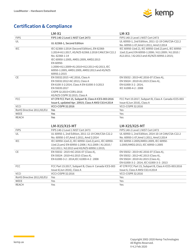

# **Certification & Compliance**

|                           | $LM-X1$                                                                                                                                                                                                                                                                                       | $LM-X3$                                                                                                                                                   |
|---------------------------|-----------------------------------------------------------------------------------------------------------------------------------------------------------------------------------------------------------------------------------------------------------------------------------------------|-----------------------------------------------------------------------------------------------------------------------------------------------------------|
| <b>FIPS</b>               | FIPS 140-2 Level 1 NIST Cert 2473                                                                                                                                                                                                                                                             | FIPS 140-2 Level 1 NIST Cert 2473                                                                                                                         |
| UL                        | UL 62368-1, Second Edition                                                                                                                                                                                                                                                                    | UL 60950-1, 2nd Edition, 2011-12-19 CAN/CSA-C22.2<br>No. 60950-1-07, Amd 1:2011, Amd 2:2014                                                               |
| <b>IEC</b>                | IEC 62368-1:2014 (Second Edition), EN 62368-<br>1:2014+A11:2017, AS/NZS 62368.1:2018 CAN/CSA C22.2<br>No. 62368-1-14<br>IEC 60950-1:2005, AMD1:2009, AMD2:2013<br>EN 60950-<br>1:2006+A11:2009+A1:2010+A12:2011+A2:2013, IEC<br>60950-1:2005, AMD1:2009, AMD2:2013 and AS/NZS<br>60950.1:2015 | IEC 60950-1(ed.2), IEC 60950-1(ed.2);am1, IEC 60950-<br>1(ed.2);am2 EN 60950-1:2006 / A11:2009 / A1:2010 /<br>A12:2011 / A2:2013 and AS/NZS 60950.1:2015; |
| CE                        | EN 55032:2015 +AC:2016, Class A<br>EN 55032:2012+AC:2013, Class A<br>EN 6100-3-2:2014, Class A EN 61000-3-3:2013<br>EN 55035:2017<br>CISPR 32:2015+COR1:2016<br>AS/NZS CISPR 32:2015, Class A                                                                                                 | EN 55032: 2015+AC:2016-07 (Class A),<br>EN 55024: 2010+A1:2015 (Class A),<br>EN 61000-3-2:2014,<br>IEC 61000-4-2:2008                                     |
| FCC                       | 47 CFR FCC Part 15, Subpart B, Class A ICES-003:2016<br>Issue 6, updated Apr. 20919, Class A ANSI C63:4:2014                                                                                                                                                                                  | FCC Part 15:2017, Subpart B, Class A Canada ICES-003<br>Issue 6(Jun 2016), Class A                                                                        |
| <b>VCCI</b>               | <b>VCCI-CISPR 32:2016</b>                                                                                                                                                                                                                                                                     | <b>VCCI-CISPR 32:2016</b>                                                                                                                                 |
| RoHS Directive 2011/65/EU | Yes                                                                                                                                                                                                                                                                                           | Yes                                                                                                                                                       |
| WEEE                      | Yes                                                                                                                                                                                                                                                                                           | Yes                                                                                                                                                       |
| <b>REACH</b>              | Yes<br>LM-X15/X15-MT                                                                                                                                                                                                                                                                          | Yes<br>LM-X25/X25-MT                                                                                                                                      |
| <b>FIPS</b>               | FIPS 140-2 Level 1 NIST Cert 2473                                                                                                                                                                                                                                                             | FIPS 140-2 Level 1 NIST Cert 2473                                                                                                                         |
| UL                        | UL 60950-1, 2nd Edition, 2011-12-19 CAN/CSA-C22.2                                                                                                                                                                                                                                             | UL 60950-1, 2nd Edition, 2014-10-14 CAN/CSA-C22.2                                                                                                         |
|                           | No. 60950-1-07, Amd 1:2011, Amd 2:2014                                                                                                                                                                                                                                                        | No. 60950-1-07, Amd 1:2011, Amd 2:2014                                                                                                                    |
| <b>IEC</b>                | IEC 60950-1(ed.2), IEC 60950-1(ed.2);am1, IEC 60950-<br>1(ed.2);am2 EN 60950-1:2006 / A11:2009 / A1:2010 /<br>A12:2011 / A2:2013 and AS/NZS 60950.1:2015;                                                                                                                                     | IEC 60950-1:2005/AMD1:2009, IEC 60950-<br>1:2005/AMD2:2013, IEC 60950-1:2005                                                                              |
| CE                        | EN 55032: 2015+AC:2016-07 (Class A),<br>EN 55024: 2010+A1:2015 (Class A),<br>EN 61000-3-2:2014, IEC 61000-4-2:2008                                                                                                                                                                            | EN 55032: 2015+AC:2016-07 (Class A),<br>EN 55032: 2012+AC:2013 (Class A),<br>EN 55024: 2010+A1:2015 (Class A),<br>EN 61000-3-2:2014, IEC 61000-3-3:2013   |
| <b>FCC</b>                | FCC Part 15:2017, Subpart B, Class A Canada ICES-003<br>Issue 6(Jun 2016), Class A                                                                                                                                                                                                            | 47 CFR FCC Part 15, Subpart B, Class A ICES-003:2016<br>Issue 6, Class A ANSI C63.4:2014                                                                  |
| <b>VCCI</b>               | <b>VCCI-CISPR 32:2016</b>                                                                                                                                                                                                                                                                     | <b>VCCI-CISPR 32:2016</b>                                                                                                                                 |
| RoHS Directive 2011/65/EU | Yes                                                                                                                                                                                                                                                                                           | Yes                                                                                                                                                       |
| WEEE                      | Yes                                                                                                                                                                                                                                                                                           | Yes                                                                                                                                                       |
| <b>REACH</b>              | Yes                                                                                                                                                                                                                                                                                           | Yes                                                                                                                                                       |